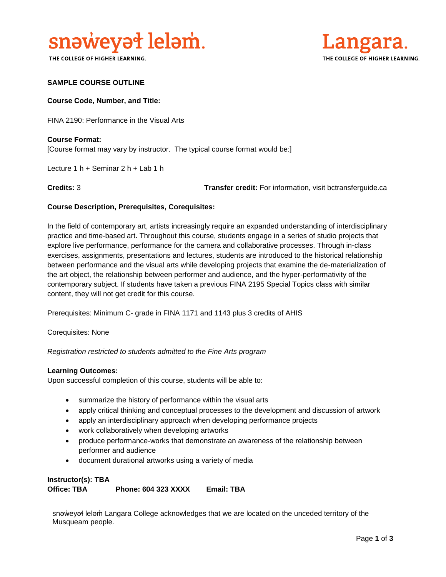

THE COLLEGE OF HIGHER LEARNING.



#### **SAMPLE COURSE OUTLINE**

#### **Course Code, Number, and Title:**

FINA 2190: Performance in the Visual Arts

**Course Format:** [Course format may vary by instructor. The typical course format would be:]

Lecture 1 h + Seminar 2 h + Lab 1 h

**Credits:** 3 **Transfer credit:** For information, visit bctransferguide.ca

#### **Course Description, Prerequisites, Corequisites:**

In the field of contemporary art, artists increasingly require an expanded understanding of interdisciplinary practice and time-based art. Throughout this course, students engage in a series of studio projects that explore live performance, performance for the camera and collaborative processes. Through in-class exercises, assignments, presentations and lectures, students are introduced to the historical relationship between performance and the visual arts while developing projects that examine the de-materialization of the art object, the relationship between performer and audience, and the hyper-performativity of the contemporary subject. If students have taken a previous FINA 2195 Special Topics class with similar content, they will not get credit for this course.

Prerequisites: Minimum C- grade in FINA 1171 and 1143 plus 3 credits of AHIS

Corequisites: None

*Registration restricted to students admitted to the Fine Arts program* 

#### **Learning Outcomes:**

Upon successful completion of this course, students will be able to:

- summarize the history of performance within the visual arts
- apply critical thinking and conceptual processes to the development and discussion of artwork
- apply an interdisciplinary approach when developing performance projects
- work collaboratively when developing artworks
- produce performance-works that demonstrate an awareness of the relationship between performer and audience
- document durational artworks using a variety of media

## **Instructor(s): TBA Office: TBA Phone: 604 323 XXXX Email: TBA**

snaweyał lelam Langara College acknowledges that we are located on the unceded territory of the Musqueam people.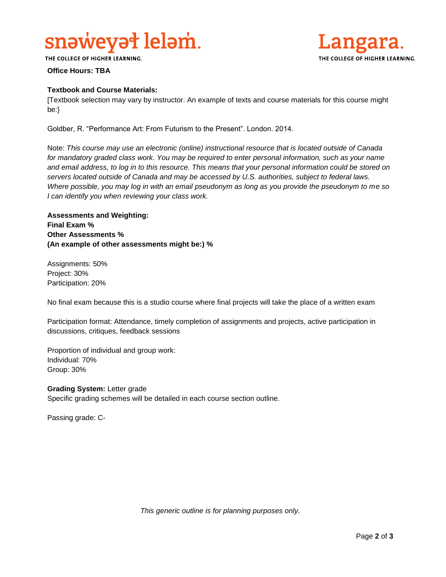# snəweyət leləm.



THE COLLEGE OF HIGHER LEARNING.

#### **Office Hours: TBA**

#### **Textbook and Course Materials:**

[Textbook selection may vary by instructor. An example of texts and course materials for this course might be:}

Goldber, R. "Performance Art: From Futurism to the Present". London. 2014.

Note: *This course may use an electronic (online) instructional resource that is located outside of Canada*  for mandatory graded class work. You may be required to enter personal information, such as your name *and email address, to log in to this resource. This means that your personal information could be stored on servers located outside of Canada and may be accessed by U.S. authorities, subject to federal laws. Where possible, you may log in with an email pseudonym as long as you provide the pseudonym to me so I can identify you when reviewing your class work.* 

**Assessments and Weighting: Final Exam % Other Assessments % (An example of other assessments might be:) %**

Assignments: 50% Project: 30% Participation: 20%

No final exam because this is a studio course where final projects will take the place of a written exam

Participation format: Attendance, timely completion of assignments and projects, active participation in discussions, critiques, feedback sessions

Proportion of individual and group work: Individual: 70% Group: 30%

**Grading System:** Letter grade Specific grading schemes will be detailed in each course section outline.

Passing grade: C-

*This generic outline is for planning purposes only.*